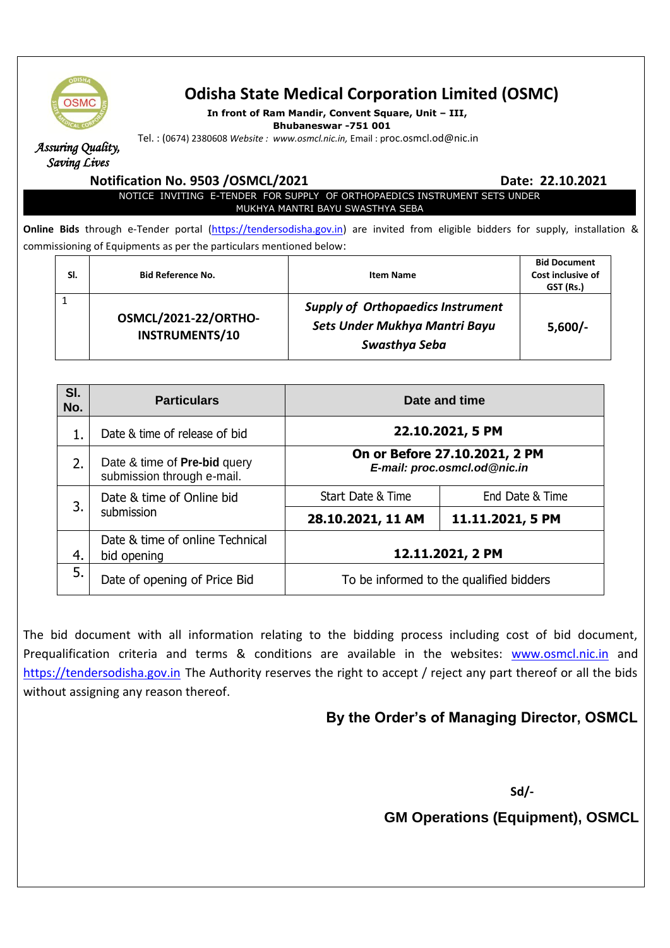

# **Odisha State Medical Corporation Limited (OSMC)**

**In front of Ram Mandir, Convent Square, Unit – III,** 

**Bhubaneswar -751 001**

Tel. : (0674) 2380608 *Website : www.osmcl.nic.in,* Email : proc.osmcl.od@nic.in

*Assuring Quality, Saving Lives* 

### **Notification No. 9503 /OSMCL/2021 Date: 22.10.2021 Date: 22.10.2021**

NOTICE INVITING E-TENDER FOR SUPPLY OF ORTHOPAEDICS INSTRUMENT SETS UNDER MUKHYA MANTRI BAYU SWASTHYA SEBA

**Online Bids** through e-Tender portal [\(https://tendersodisha.gov.in\)](https://tendersodisha.gov.in/) are invited from eligible bidders for supply, installation & commissioning of Equipments as per the particulars mentioned below:

|  | SI. | <b>Bid Reference No.</b>                             | <b>Item Name</b>                                                                           | <b>Bid Document</b><br>Cost inclusive of<br>GST (Rs.) |
|--|-----|------------------------------------------------------|--------------------------------------------------------------------------------------------|-------------------------------------------------------|
|  |     | <b>OSMCL/2021-22/ORTHO-</b><br><b>INSTRUMENTS/10</b> | <b>Supply of Orthopaedics Instrument</b><br>Sets Under Mukhya Mantri Bayu<br>Swasthya Seba | $5,600/-$                                             |

| SI.<br>No. | <b>Particulars</b>                                                | Date and time                                                                     |                  |
|------------|-------------------------------------------------------------------|-----------------------------------------------------------------------------------|------------------|
|            | Date & time of release of bid                                     | 22.10.2021, 5 PM<br>On or Before 27.10.2021, 2 PM<br>E-mail: proc.osmcl.od@nic.in |                  |
| 2.         | Date & time of <b>Pre-bid</b> query<br>submission through e-mail. |                                                                                   |                  |
| 3.         | Date & time of Online bid<br>submission                           | Start Date & Time                                                                 | End Date & Time  |
|            |                                                                   | 28.10.2021, 11 AM                                                                 | 11.11.2021, 5 PM |
| 4.         | Date & time of online Technical<br>bid opening                    | 12.11.2021, 2 PM                                                                  |                  |
| 5.         | Date of opening of Price Bid                                      | To be informed to the qualified bidders                                           |                  |

The bid document with all information relating to the bidding process including cost of bid document, Prequalification criteria and terms & conditions are available in the websites: [www.osmcl.nic.in](http://www.osmcl.nic.in/) and [https://tendersodisha.gov.in](https://tendersodisha.gov.in/) The Authority reserves the right to accept / reject any part thereof or all the bids without assigning any reason thereof.

## **By the Order's of Managing Director, OSMCL**

 **Sd/-**

**GM Operations (Equipment), OSMCL**